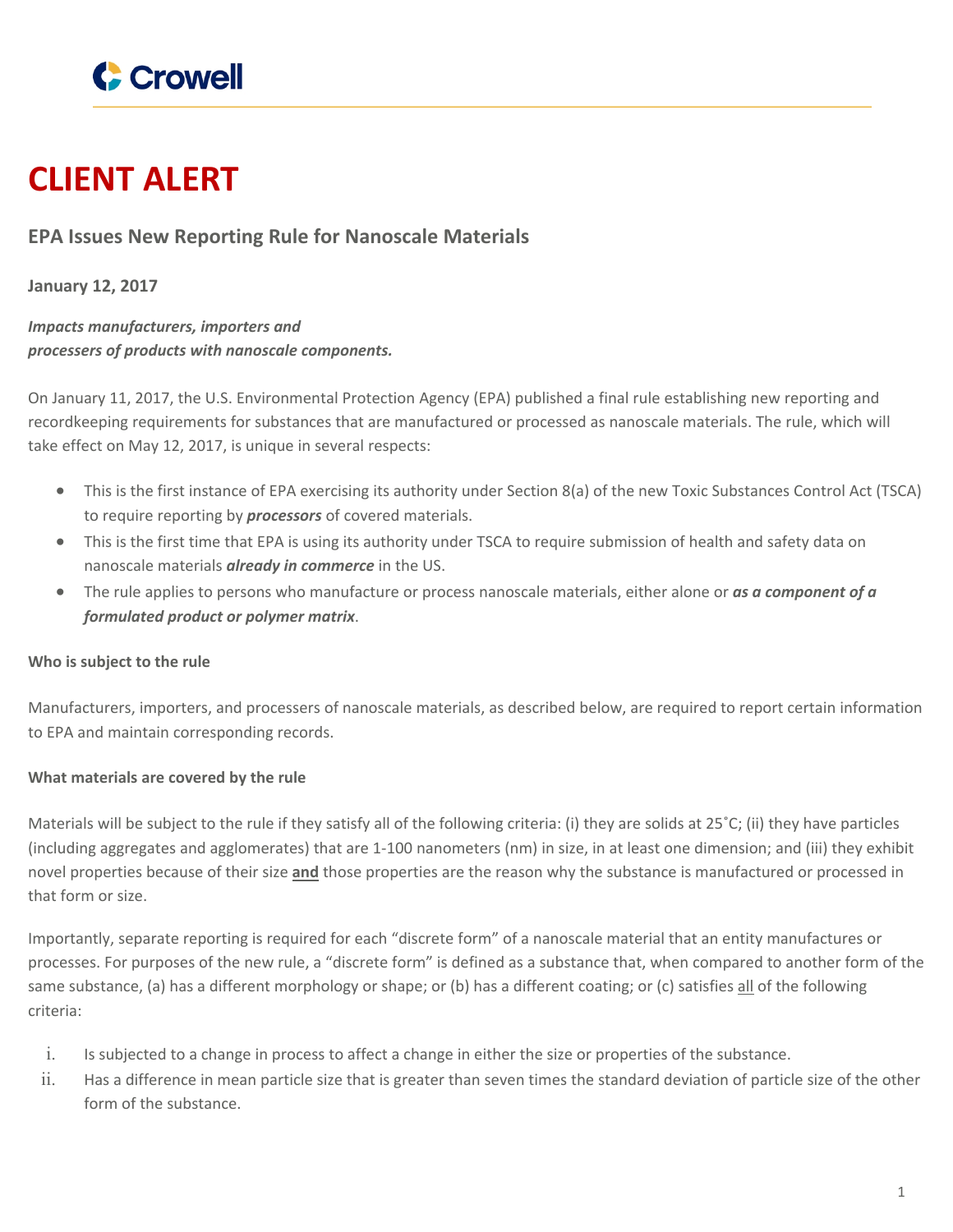

# **CLIENT ALERT**

# **EPA Issues New Reporting Rule for Nanoscale Materials**

**January 12, 2017**

*Impacts manufacturers, importers and processers of products with nanoscale components.*

On January 11, 2017, the U.S. Environmental Protection Agency (EPA) published a final rule establishing new reporting and recordkeeping requirements for substances that are manufactured or processed as nanoscale materials. The rule, which will take effect on May 12, 2017, is unique in several respects:

- This is the first instance of EPA exercising its authority under Section 8(a) of the new Toxic Substances Control Act (TSCA) to require reporting by *processors* of covered materials.
- This is the first time that EPA is using its authority under TSCA to require submission of health and safety data on nanoscale materials *already in commerce* in the US.
- The rule applies to persons who manufacture or process nanoscale materials, either alone or *as a component of a formulated product or polymer matrix*.

# **Who is subject to the rule**

Manufacturers, importers, and processers of nanoscale materials, as described below, are required to report certain information to EPA and maintain corresponding records.

# **What materials are covered by the rule**

Materials will be subject to the rule if they satisfy all of the following criteria: (i) they are solids at 25˚C; (ii) they have particles (including aggregates and agglomerates) that are 1-100 nanometers (nm) in size, in at least one dimension; and (iii) they exhibit novel properties because of their size **and** those properties are the reason why the substance is manufactured or processed in that form or size.

Importantly, separate reporting is required for each "discrete form" of a nanoscale material that an entity manufactures or processes. For purposes of the new rule, a "discrete form" is defined as a substance that, when compared to another form of the same substance, (a) has a different morphology or shape; or (b) has a different coating; or (c) satisfies all of the following criteria:

- i. Is subjected to a change in process to affect a change in either the size or properties of the substance.
- ii. Has a difference in mean particle size that is greater than seven times the standard deviation of particle size of the other form of the substance.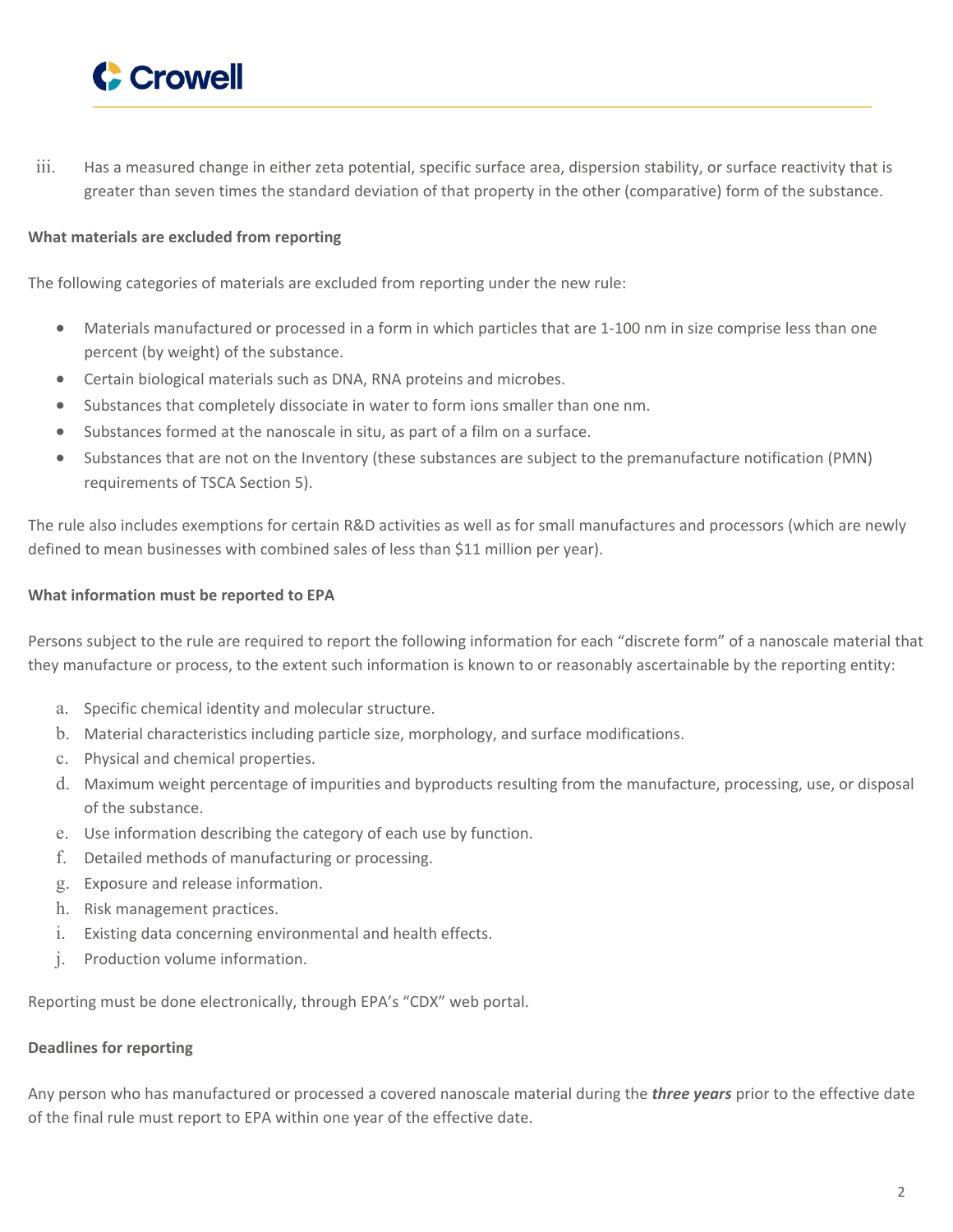

iii. Has a measured change in either zeta potential, specific surface area, dispersion stability, or surface reactivity that is greater than seven times the standard deviation of that property in the other (comparative) form of the substance.

#### **What materials are excluded from reporting**

The following categories of materials are excluded from reporting under the new rule:

- Materials manufactured or processed in a form in which particles that are 1-100 nm in size comprise less than one percent (by weight) of the substance.
- Certain biological materials such as DNA, RNA proteins and microbes.
- Substances that completely dissociate in water to form ions smaller than one nm.
- Substances formed at the nanoscale in situ, as part of a film on a surface.
- Substances that are not on the Inventory (these substances are subject to the premanufacture notification (PMN) requirements of TSCA Section 5).

The rule also includes exemptions for certain R&D activities as well as for small manufactures and processors (which are newly defined to mean businesses with combined sales of less than \$11 million per year).

#### **What information must be reported to EPA**

Persons subject to the rule are required to report the following information for each "discrete form" of a nanoscale material that they manufacture or process, to the extent such information is known to or reasonably ascertainable by the reporting entity:

- a. Specific chemical identity and molecular structure.
- b. Material characteristics including particle size, morphology, and surface modifications.
- c. Physical and chemical properties.
- d. Maximum weight percentage of impurities and byproducts resulting from the manufacture, processing, use, or disposal of the substance.
- e. Use information describing the category of each use by function.
- f. Detailed methods of manufacturing or processing.
- g. Exposure and release information.
- h. Risk management practices.
- i. Existing data concerning environmental and health effects.
- j. Production volume information.

Reporting must be done electronically, through EPA's "CDX" web portal.

# **Deadlines for reporting**

Any person who has manufactured or processed a covered nanoscale material during the *three years* prior to the effective date of the final rule must report to EPA within one year of the effective date.